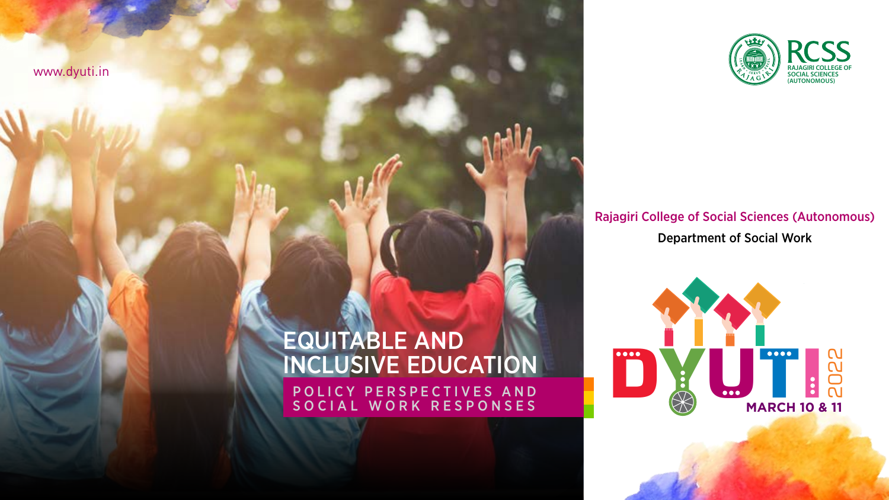

### Rajagiri College of Social Sciences (Autonomous) Department of Social Work



# EQUITABLE AND INCLUSIVE EDUCATION

P O L I C Y P E R S P E C T I V E S A N D SOCIAL WORK RESPONSES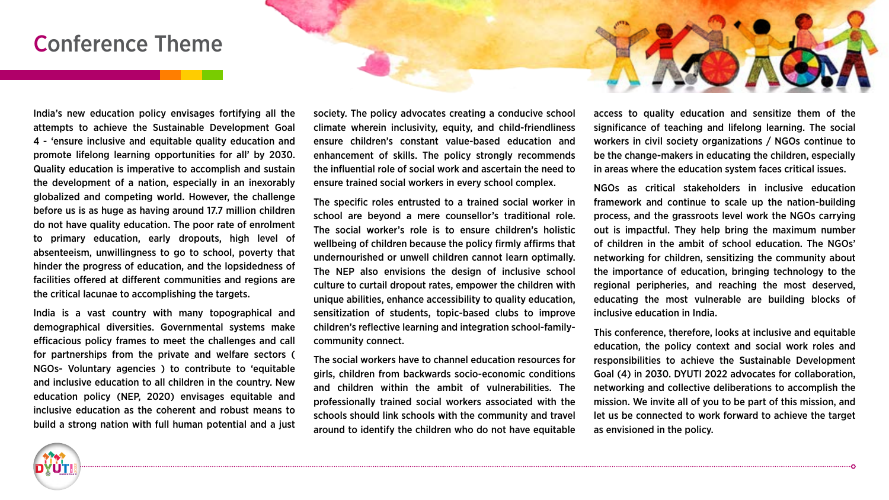### Conference Theme



India's new education policy envisages fortifying all the attempts to achieve the Sustainable Development Goal 4 - 'ensure inclusive and equitable quality education and promote lifelong learning opportunities for all' by 2030. Quality education is imperative to accomplish and sustain the development of a nation, especially in an inexorably globalized and competing world. However, the challenge before us is as huge as having around 17.7 million children do not have quality education. The poor rate of enrolment to primary education, early dropouts, high level of absenteeism, unwillingness to go to school, poverty that hinder the progress of education, and the lopsidedness of facilities offered at different communities and regions are the critical lacunae to accomplishing the targets.

India is a vast country with many topographical and demographical diversities. Governmental systems make efficacious policy frames to meet the challenges and call for partnerships from the private and welfare sectors ( NGOs- Voluntary agencies ) to contribute to 'equitable and inclusive education to all children in the country. New education policy (NEP, 2020) envisages equitable and inclusive education as the coherent and robust means to build a strong nation with full human potential and a just

society. The policy advocates creating a conducive school climate wherein inclusivity, equity, and child-friendliness ensure children's constant value-based education and enhancement of skills. The policy strongly recommends the influential role of social work and ascertain the need to ensure trained social workers in every school complex.

The specific roles entrusted to a trained social worker in school are beyond a mere counsellor's traditional role. The social worker's role is to ensure children's holistic wellbeing of children because the policy firmly affirms that undernourished or unwell children cannot learn optimally. The NEP also envisions the design of inclusive school culture to curtail dropout rates, empower the children with unique abilities, enhance accessibility to quality education, sensitization of students, topic-based clubs to improve children's reflective learning and integration school-familycommunity connect.

The social workers have to channel education resources for girls, children from backwards socio-economic conditions and children within the ambit of vulnerabilities. The professionally trained social workers associated with the schools should link schools with the community and travel around to identify the children who do not have equitable access to quality education and sensitize them of the significance of teaching and lifelong learning. The social workers in civil society organizations / NGOs continue to be the change-makers in educating the children, especially in areas where the education system faces critical issues.

NGOs as critical stakeholders in inclusive education framework and continue to scale up the nation-building process, and the grassroots level work the NGOs carrying out is impactful. They help bring the maximum number of children in the ambit of school education. The NGOs' networking for children, sensitizing the community about the importance of education, bringing technology to the regional peripheries, and reaching the most deserved, educating the most vulnerable are building blocks of inclusive education in India.

This conference, therefore, looks at inclusive and equitable education, the policy context and social work roles and responsibilities to achieve the Sustainable Development Goal (4) in 2030. DYUTI 2022 advocates for collaboration, networking and collective deliberations to accomplish the mission. We invite all of you to be part of this mission, and let us be connected to work forward to achieve the target as envisioned in the policy.

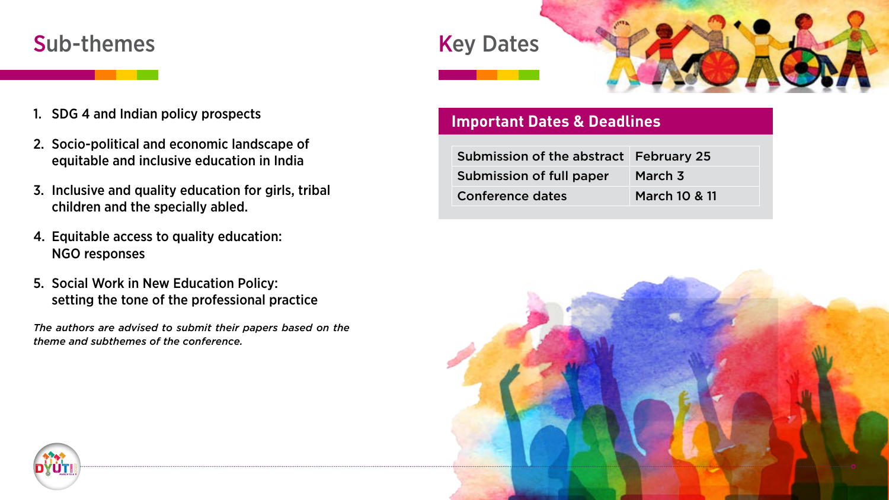## Sub-themes Key Dates





- 1. SDG 4 and Indian policy prospects
- 2. Socio-political and economic landscape of equitable and inclusive education in India
- 3. Inclusive and quality education for girls, tribal children and the specially abled.
- 4. Equitable access to quality education: NGO responses
- 5. Social Work in New Education Policy: setting the tone of the professional practice

*The authors are advised to submit their papers based on the theme and subthemes of the conference.*

### **Important Dates & Deadlines**

| Submission of the abstract February 25 |               |
|----------------------------------------|---------------|
| Submission of full paper               | March 3       |
| Conference dates                       | March 10 & 11 |



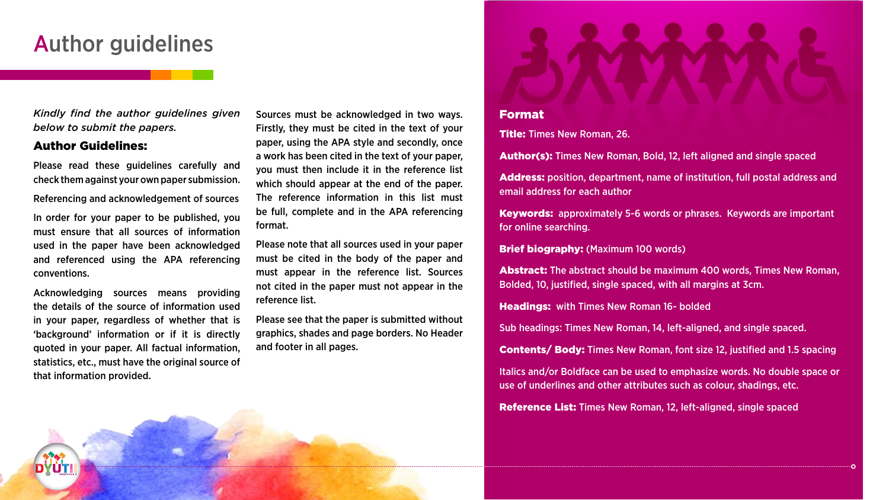### Author guidelines

*Kindly find the author guidelines given below to submit the papers.* 

#### Author Guidelines:

**DYUTI MARCH 10 & 11**

Please read these guidelines carefully and check them against your own paper submission.

Referencing and acknowledgement of sources

In order for your paper to be published, you must ensure that all sources of information used in the paper have been acknowledged and referenced using the APA referencing conventions.

Acknowledging sources means providing the details of the source of information used in your paper, regardless of whether that is 'background' information or if it is directly quoted in your paper. All factual information, statistics, etc., must have the original source of that information provided.

Sources must be acknowledged in two ways. Firstly, they must be cited in the text of your paper, using the APA style and secondly, once a work has been cited in the text of your paper, you must then include it in the reference list which should appear at the end of the paper. The reference information in this list must be full, complete and in the APA referencing format.

Please note that all sources used in your paper must be cited in the body of the paper and must appear in the reference list. Sources not cited in the paper must not appear in the reference list.

Please see that the paper is submitted without graphics, shades and page borders. No Header and footer in all pages.

#### Format

Title: Times New Roman, 26.

Author(s): Times New Roman, Bold, 12, left aligned and single spaced

Address: position, department, name of institution, full postal address and email address for each author

Keywords: approximately 5-6 words or phrases. Keywords are important for online searching.

Brief biography: (Maximum 100 words)

Abstract: The abstract should be maximum 400 words, Times New Roman, Bolded, 10, justified, single spaced, with all margins at 3cm.

Headings: with Times New Roman 16- bolded

Sub headings: Times New Roman, 14, left-aligned, and single spaced.

Contents/ Body: Times New Roman, font size 12, justified and 1.5 spacing

Italics and/or Boldface can be used to emphasize words. No double space or use of underlines and other attributes such as colour, shadings, etc.

Reference List: Times New Roman, 12, left-aligned, single spaced